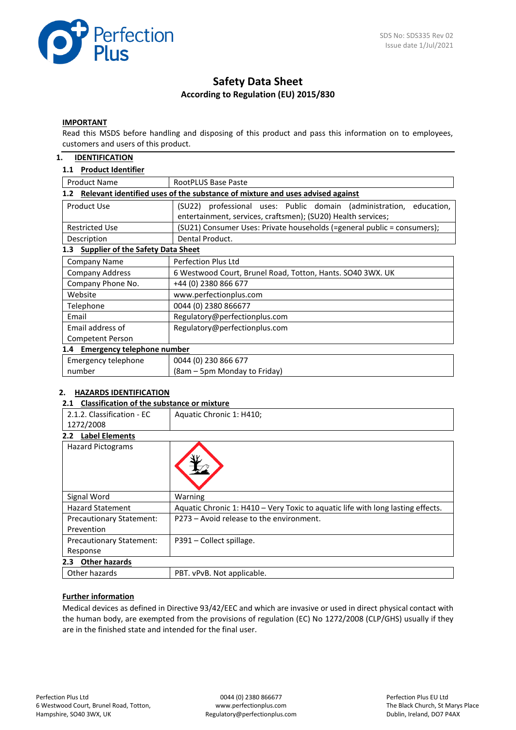

# **Safety Data Sheet According to Regulation (EU) 2015/830**

### **IMPORTANT**

Read this MSDS before handling and disposing of this product and pass this information on to employees, customers and users of this product.

### **1. IDENTIFICATION**

### **1.1 Product Identifier**

| <b>Product Name</b>                                                                               | RootPLUS Base Paste                                                                                                                    |  |  |  |  |
|---------------------------------------------------------------------------------------------------|----------------------------------------------------------------------------------------------------------------------------------------|--|--|--|--|
| Relevant identified uses of the substance of mixture and uses advised against<br>1.2 <sub>2</sub> |                                                                                                                                        |  |  |  |  |
| Product Use                                                                                       | (SU22) professional uses: Public domain (administration,<br>education,<br>entertainment, services, craftsmen); (SU20) Health services; |  |  |  |  |
| <b>Restricted Use</b>                                                                             | (SU21) Consumer Uses: Private households (=general public = consumers);                                                                |  |  |  |  |
| Description                                                                                       | Dental Product.                                                                                                                        |  |  |  |  |
| <b>Supplier of the Safety Data Sheet</b><br>1.3                                                   |                                                                                                                                        |  |  |  |  |
| Company Name                                                                                      | Perfection Plus Ltd                                                                                                                    |  |  |  |  |
| <b>Company Address</b>                                                                            | 6 Westwood Court, Brunel Road, Totton, Hants. SO40 3WX. UK                                                                             |  |  |  |  |
| Company Phone No.                                                                                 | +44 (0) 2380 866 677                                                                                                                   |  |  |  |  |
| Website                                                                                           | www.perfectionplus.com                                                                                                                 |  |  |  |  |
| Telephone                                                                                         | 0044 (0) 2380 866677                                                                                                                   |  |  |  |  |
| Email                                                                                             | Regulatory@perfectionplus.com                                                                                                          |  |  |  |  |
| Email address of                                                                                  | Regulatory@perfectionplus.com                                                                                                          |  |  |  |  |
| <b>Competent Person</b>                                                                           |                                                                                                                                        |  |  |  |  |
| 1.4 Emergency telephone number                                                                    |                                                                                                                                        |  |  |  |  |
| Emergency telephone                                                                               | 0044 (0) 230 866 677                                                                                                                   |  |  |  |  |
| number                                                                                            | (8am – 5pm Monday to Friday)                                                                                                           |  |  |  |  |

### **2. HAZARDS IDENTIFICATION**

### **2.1 Classification of the substance or mixture**

| 2.1.2. Classification - EC      | Aquatic Chronic 1: H410;                                                        |
|---------------------------------|---------------------------------------------------------------------------------|
| 1272/2008                       |                                                                                 |
| <b>Label Elements</b><br>2.2    |                                                                                 |
| <b>Hazard Pictograms</b>        |                                                                                 |
| Signal Word                     | Warning                                                                         |
| <b>Hazard Statement</b>         | Aquatic Chronic 1: H410 - Very Toxic to aquatic life with long lasting effects. |
| <b>Precautionary Statement:</b> | P273 - Avoid release to the environment.                                        |
| Prevention                      |                                                                                 |
| <b>Precautionary Statement:</b> | P391 - Collect spillage.                                                        |
| Response                        |                                                                                 |
| <b>Other hazards</b><br>2.3     |                                                                                 |
| Other hazards                   | PBT. vPvB. Not applicable.                                                      |
|                                 |                                                                                 |

## **Further information**

Medical devices as defined in Directive 93/42/EEC and which are invasive or used in direct physical contact with the human body, are exempted from the provisions of regulation (EC) No 1272/2008 (CLP/GHS) usually if they are in the finished state and intended for the final user.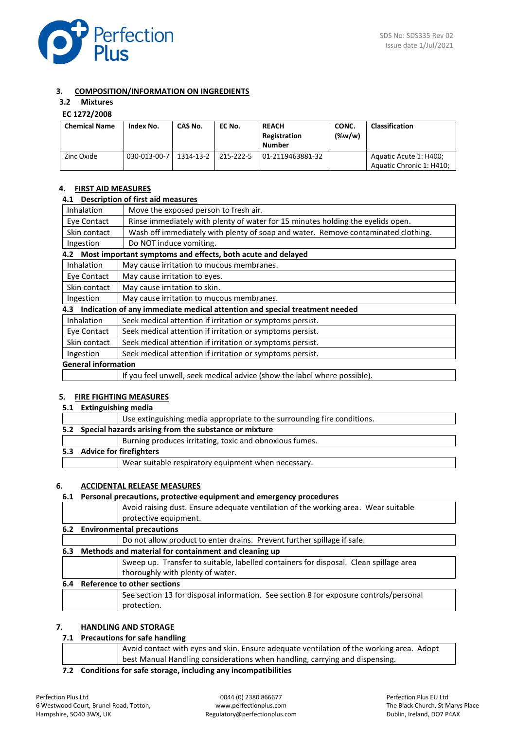

## **3. COMPOSITION/INFORMATION ON INGREDIENTS**

# **3.2 Mixtures**

## **EC 1272/2008**

| <b>Chemical Name</b> | Index No.    | CAS No.   | EC No.    | <b>REACH</b><br>Registration<br><b>Number</b> | CONC.<br>$(\%w/w)$ | <b>Classification</b>                              |
|----------------------|--------------|-----------|-----------|-----------------------------------------------|--------------------|----------------------------------------------------|
| Zinc Oxide           | 030-013-00-7 | 1314-13-2 | 215-222-5 | 01-2119463881-32                              |                    | Aquatic Acute 1: H400;<br>Aquatic Chronic 1: H410; |

## **4. FIRST AID MEASURES**

#### **4.1 Description of first aid measures**

| Inhalation                 | Move the exposed person to fresh air.                                             |  |  |
|----------------------------|-----------------------------------------------------------------------------------|--|--|
| Eye Contact                | Rinse immediately with plenty of water for 15 minutes holding the eyelids open.   |  |  |
| Skin contact               | Wash off immediately with plenty of soap and water. Remove contaminated clothing. |  |  |
| Ingestion                  | Do NOT induce vomiting.                                                           |  |  |
| 4.2                        | Most important symptoms and effects, both acute and delayed                       |  |  |
| Inhalation                 | May cause irritation to mucous membranes.                                         |  |  |
| Eye Contact                | May cause irritation to eyes.                                                     |  |  |
| Skin contact               | May cause irritation to skin.                                                     |  |  |
| Ingestion                  | May cause irritation to mucous membranes.                                         |  |  |
| 4.3                        | Indication of any immediate medical attention and special treatment needed        |  |  |
| <b>Inhalation</b>          | Seek medical attention if irritation or symptoms persist.                         |  |  |
| Eye Contact                | Seek medical attention if irritation or symptoms persist.                         |  |  |
| Skin contact               | Seek medical attention if irritation or symptoms persist.                         |  |  |
| Ingestion                  | Seek medical attention if irritation or symptoms persist.                         |  |  |
| <b>General information</b> |                                                                                   |  |  |
|                            | If you feel unwell, seek medical advice (show the label where possible).          |  |  |

### **5. FIRE FIGHTING MEASURES**

**5.1 Extinguishing media**

|  | Use extinguishing media appropriate to the surrounding fire conditions. |
|--|-------------------------------------------------------------------------|
|  | 5.2 Special hazards arising from the substance or mixture               |
|  | Burning produces irritating, toxic and obnoxious fumes.                 |
|  | 5.3 Advice for firefighters                                             |
|  | Wear suitable respiratory equipment when necessary.                     |

### **6. ACCIDENTAL RELEASE MEASURES**

# **6.1 Personal precautions, protective equipment and emergency procedures** Avoid raising dust. Ensure adequate ventilation of the working area. Wear suitable protective equipment. **6.2 Environmental precautions** Do not allow product to enter drains. Prevent further spillage if safe. **6.3 Methods and material for containment and cleaning up** Sweep up. Transfer to suitable, labelled containers for disposal. Clean spillage area thoroughly with plenty of water. **6.4 Reference to other sections** See section 13 for disposal information. See section 8 for exposure controls/personal protection.

# **7. HANDLING AND STORAGE**

### **7.1 Precautions for safe handling**

| Avoid contact with eyes and skin. Ensure adequate ventilation of the working area. Adopt |
|------------------------------------------------------------------------------------------|
| best Manual Handling considerations when handling, carrying and dispensing.              |
|                                                                                          |

**7.2 Conditions for safe storage, including any incompatibilities**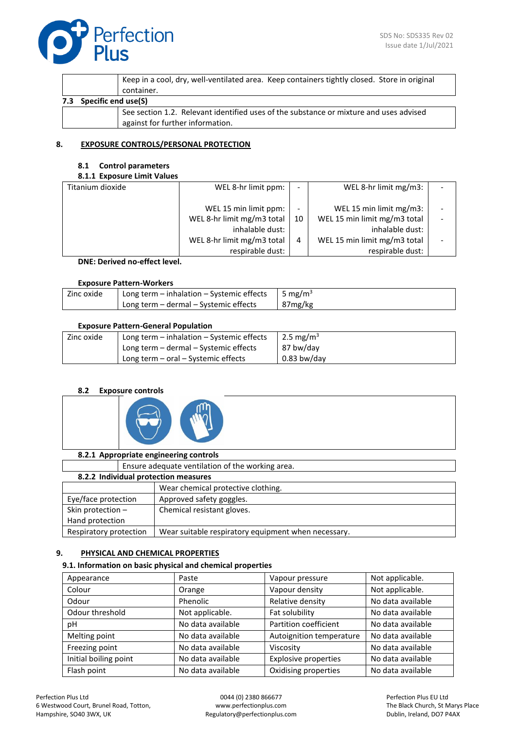

|                                                                                        | Keep in a cool, dry, well-ventilated area. Keep containers tightly closed. Store in original<br>container. |  |  |  |  |
|----------------------------------------------------------------------------------------|------------------------------------------------------------------------------------------------------------|--|--|--|--|
| Specific end use(S)<br>7.3                                                             |                                                                                                            |  |  |  |  |
| See section 1.2. Relevant identified uses of the substance or mixture and uses advised |                                                                                                            |  |  |  |  |
| against for further information.                                                       |                                                                                                            |  |  |  |  |

## **8. EXPOSURE CONTROLS/PERSONAL PROTECTION**

### **8.1 Control parameters**

## **8.1.1 Exposure Limit Values**

| Titanium dioxide | WEL 8-hr limit ppm:        |    | WEL 8-hr limit mg/m3:        |  |
|------------------|----------------------------|----|------------------------------|--|
|                  | WEL 15 min limit ppm:      |    | WEL 15 min limit mg/m3:      |  |
|                  | WEL 8-hr limit mg/m3 total | 10 | WEL 15 min limit mg/m3 total |  |
|                  | inhalable dust:            |    | inhalable dust:              |  |
|                  | WEL 8-hr limit mg/m3 total | 4  | WEL 15 min limit mg/m3 total |  |
|                  | respirable dust:           |    | respirable dust:             |  |

**DNE: Derived no-effect level.**

# **Exposure Pattern-Workers**

| Zinc oxide | Long term - inhalation - Systemic effects | 5 mg/m <sup>3</sup> |
|------------|-------------------------------------------|---------------------|
|            | Long term - dermal - Systemic effects     | 87mg/kg             |

## **Exposure Pattern-General Population**

| Zinc oxide | Long term $-$ inhalation $-$ Systemic effects | 2.5 mg/m <sup>3</sup> |
|------------|-----------------------------------------------|-----------------------|
|            | Long term – dermal – Systemic effects         | 87 bw/day             |
|            | Long term $-$ oral $-$ Systemic effects       | $0.83$ bw/day         |

# **8.2 Exposure controls**



|                        | 8.2.1 Appropriate engineering controls |                                                     |  |  |  |  |
|------------------------|----------------------------------------|-----------------------------------------------------|--|--|--|--|
|                        |                                        | Ensure adequate ventilation of the working area.    |  |  |  |  |
|                        | 8.2.2 Individual protection measures   |                                                     |  |  |  |  |
|                        |                                        | Wear chemical protective clothing.                  |  |  |  |  |
| Eye/face protection    |                                        | Approved safety goggles.                            |  |  |  |  |
| Skin protection -      |                                        | Chemical resistant gloves.                          |  |  |  |  |
| Hand protection        |                                        |                                                     |  |  |  |  |
| Respiratory protection |                                        | Wear suitable respiratory equipment when necessary. |  |  |  |  |

# **9. PHYSICAL AND CHEMICAL PROPERTIES**

# **9.1. Information on basic physical and chemical properties**

| Appearance            | Paste             | Vapour pressure             | Not applicable.   |
|-----------------------|-------------------|-----------------------------|-------------------|
|                       |                   |                             |                   |
| Colour                | Orange            | Vapour density              | Not applicable.   |
| Odour                 | Phenolic          | Relative density            | No data available |
| Odour threshold       | Not applicable.   | Fat solubility              | No data available |
| рH                    | No data available | Partition coefficient       | No data available |
| Melting point         | No data available | Autoignition temperature    | No data available |
| Freezing point        | No data available | Viscosity                   | No data available |
| Initial boiling point | No data available | <b>Explosive properties</b> | No data available |
| Flash point           | No data available | Oxidising properties        | No data available |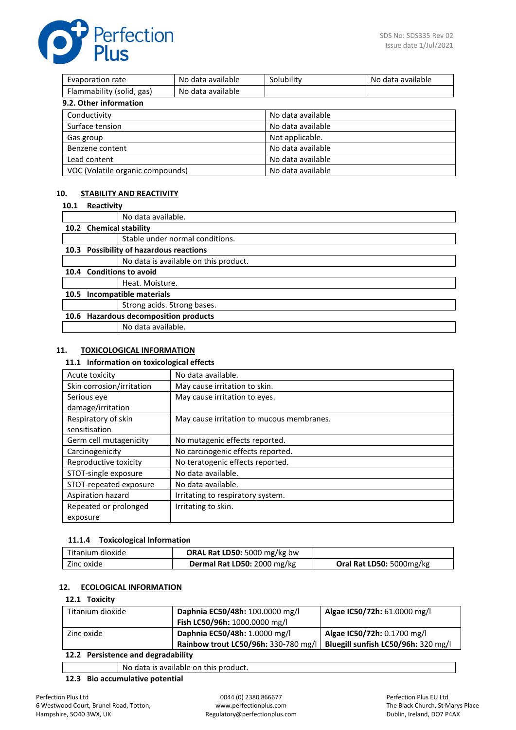Perfection

| Evaporation rate                 | No data available | Solubility        | No data available |
|----------------------------------|-------------------|-------------------|-------------------|
| Flammability (solid, gas)        | No data available |                   |                   |
| 9.2. Other information           |                   |                   |                   |
| Conductivity                     |                   | No data available |                   |
| Surface tension                  |                   | No data available |                   |
| Gas group                        |                   | Not applicable.   |                   |
| Benzene content                  |                   | No data available |                   |
| Lead content                     |                   | No data available |                   |
| VOC (Volatile organic compounds) |                   | No data available |                   |

# **10. STABILITY AND REACTIVITY**

| 10.1 | Reactivity              |                                           |
|------|-------------------------|-------------------------------------------|
|      |                         | No data available.                        |
|      | 10.2 Chemical stability |                                           |
|      |                         | Stable under normal conditions.           |
| 10.3 |                         | <b>Possibility of hazardous reactions</b> |
|      |                         | No data is available on this product.     |
| 10.4 |                         | <b>Conditions to avoid</b>                |
|      |                         | Heat. Moisture.                           |
| 10.5 |                         | Incompatible materials                    |
|      |                         | Strong acids. Strong bases.               |
|      |                         | 10.6 Hazardous decomposition products     |
|      |                         | No data available.                        |

## **11. TOXICOLOGICAL INFORMATION**

### **11.1 Information on toxicological effects**

| Acute toxicity            | No data available.                        |
|---------------------------|-------------------------------------------|
| Skin corrosion/irritation | May cause irritation to skin.             |
| Serious eye               | May cause irritation to eyes.             |
| damage/irritation         |                                           |
| Respiratory of skin       | May cause irritation to mucous membranes. |
| sensitisation             |                                           |
| Germ cell mutagenicity    | No mutagenic effects reported.            |
| Carcinogenicity           | No carcinogenic effects reported.         |
| Reproductive toxicity     | No teratogenic effects reported.          |
| STOT-single exposure      | No data available.                        |
| STOT-repeated exposure    | No data available.                        |
| Aspiration hazard         | Irritating to respiratory system.         |
| Repeated or prolonged     | Irritating to skin.                       |
| exposure                  |                                           |

# **11.1.4 Toxicological Information**

| Titanium dioxide | ORAL Rat LD50: 5000 mg/kg bw |                          |
|------------------|------------------------------|--------------------------|
| Zinc oxide       | Dermal Rat LD50: 2000 mg/kg  | Oral Rat LD50: 5000mg/kg |

# **12. ECOLOGICAL INFORMATION**

# **12.1 Toxicity**

| Titanium dioxide | Daphnia EC50/48h: 100.0000 mg/l      | Algae IC50/72h: 61.0000 mg/l        |
|------------------|--------------------------------------|-------------------------------------|
|                  | Fish LC50/96h: 1000.0000 mg/l        |                                     |
| Zinc oxide       | Daphnia EC50/48h: 1.0000 mg/l        | Algae IC50/72h: 0.1700 mg/l         |
|                  | Rainbow trout LC50/96h: 330-780 mg/l | Bluegill sunfish LC50/96h: 320 mg/l |

# **12.2 Persistence and degradability**

No data is available on this product.

# **12.3 Bio accumulative potential**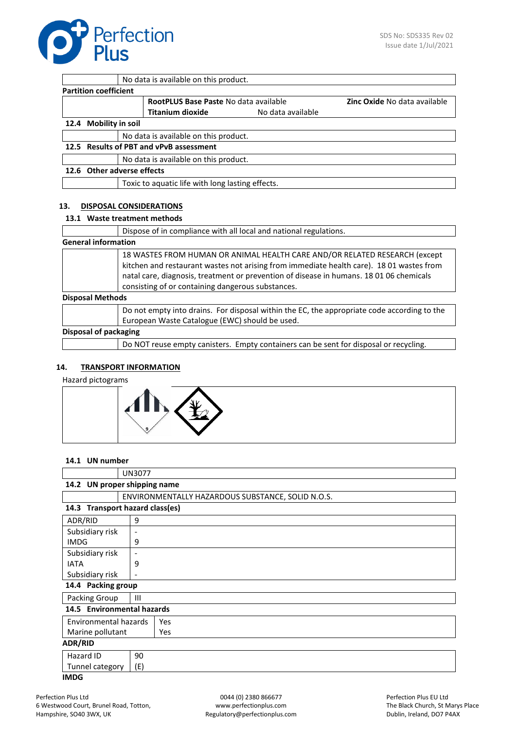

|                              | No data is available on this product.            |                   |                                     |
|------------------------------|--------------------------------------------------|-------------------|-------------------------------------|
| <b>Partition coefficient</b> |                                                  |                   |                                     |
|                              | RootPLUS Base Paste No data available            |                   | <b>Zinc Oxide No data available</b> |
|                              | <b>Titanium dioxide</b>                          | No data available |                                     |
| 12.4 Mobility in soil        |                                                  |                   |                                     |
|                              | No data is available on this product.            |                   |                                     |
|                              | 12.5 Results of PBT and vPvB assessment          |                   |                                     |
|                              | No data is available on this product.            |                   |                                     |
| 12.6 Other adverse effects   |                                                  |                   |                                     |
|                              | Toxic to aquatic life with long lasting effects. |                   |                                     |
|                              |                                                  |                   |                                     |

## **13. DISPOSAL CONSIDERATIONS**

## **13.1 Waste treatment methods**

|                            | Dispose of in compliance with all local and national regulations.                                                                                                                                                                                                                                                      |
|----------------------------|------------------------------------------------------------------------------------------------------------------------------------------------------------------------------------------------------------------------------------------------------------------------------------------------------------------------|
| <b>General information</b> |                                                                                                                                                                                                                                                                                                                        |
|                            | 18 WASTES FROM HUMAN OR ANIMAL HEALTH CARE AND/OR RELATED RESEARCH (except<br>kitchen and restaurant wastes not arising from immediate health care). 18 01 wastes from<br>natal care, diagnosis, treatment or prevention of disease in humans. 18 01 06 chemicals<br>consisting of or containing dangerous substances. |
| <b>Disposal Methods</b>    |                                                                                                                                                                                                                                                                                                                        |
|                            | Do not empty into drains. For disposal within the EC, the appropriate code according to the<br>European Waste Catalogue (EWC) should be used.                                                                                                                                                                          |
| Disposal of packaging      |                                                                                                                                                                                                                                                                                                                        |
|                            | Do NOT reuse empty canisters. Empty containers can be sent for disposal or recycling.                                                                                                                                                                                                                                  |

### **14. TRANSPORT INFORMATION**

Hazard pictograms



### **14.1 UN number**

|                                 | <b>UN3077</b>                |                                                   |
|---------------------------------|------------------------------|---------------------------------------------------|
| 14.2 UN proper shipping name    |                              |                                                   |
|                                 |                              | ENVIRONMENTALLY HAZARDOUS SUBSTANCE, SOLID N.O.S. |
| 14.3 Transport hazard class(es) |                              |                                                   |
| ADR/RID                         | 9                            |                                                   |
| Subsidiary risk                 | $\overline{\phantom{a}}$     |                                                   |
| <b>IMDG</b>                     | 9                            |                                                   |
| Subsidiary risk                 | $\overline{\phantom{a}}$     |                                                   |
| <b>IATA</b>                     | 9                            |                                                   |
| Subsidiary risk                 | $\qquad \qquad \blacksquare$ |                                                   |
| 14.4 Packing group              |                              |                                                   |
| Packing Group                   | Ш                            |                                                   |
| 14.5 Environmental hazards      |                              |                                                   |
| Environmental hazards           |                              | Yes                                               |
| Marine pollutant                |                              | Yes                                               |
| <b>ADR/RID</b>                  |                              |                                                   |
| Hazard ID                       | 90                           |                                                   |
| Tunnel category                 | (E)                          |                                                   |
| <b>IMDG</b>                     |                              |                                                   |